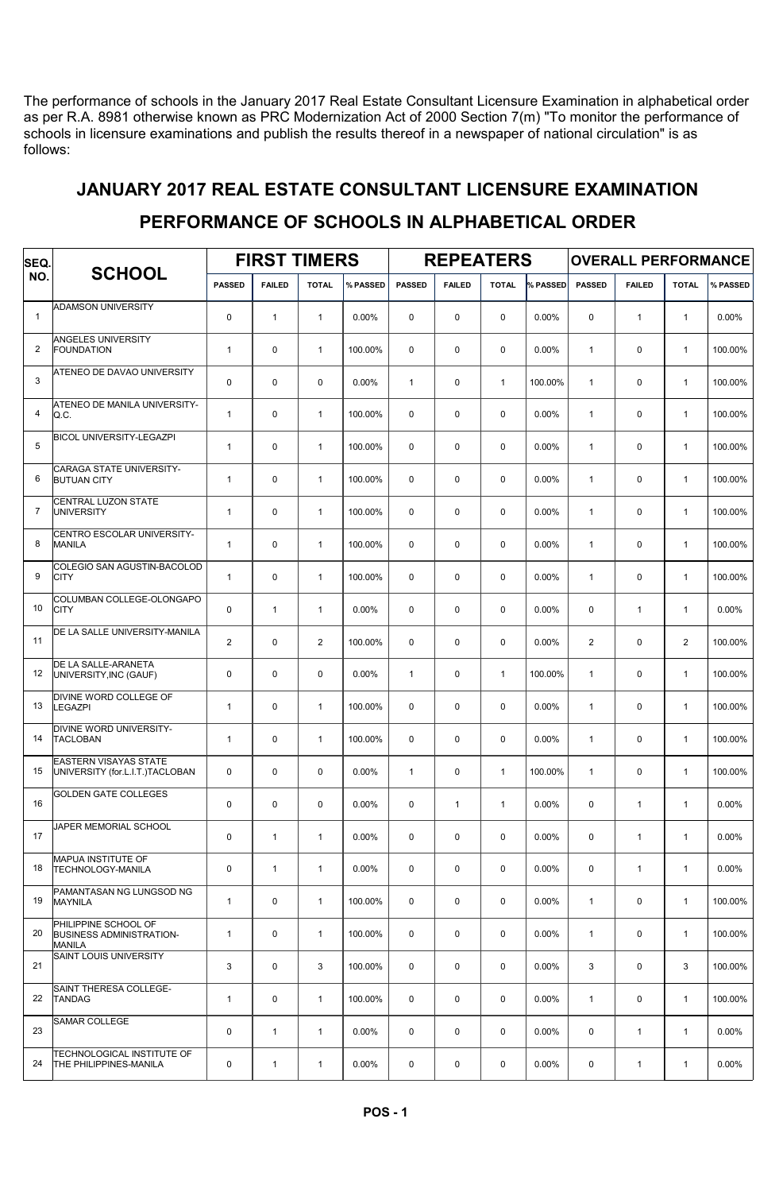The performance of schools in the January 2017 Real Estate Consultant Licensure Examination in alphabetical order as per R.A. 8981 otherwise known as PRC Modernization Act of 2000 Section 7(m) "To monitor the performance of schools in licensure examinations and publish the results thereof in a newspaper of national circulation" is as follows:

## JANUARY 2017 REAL ESTATE CONSULTANT LICENSURE EXAMINATION

## FIRST TIMERS | REPEATERS | OVERALL PERFORMANCE SCHOOL PASSED FAILED TOTAL WASSED PASSED FAILED TOTAL WASSED PASSED FAILED TOTAL WASSED SEQ. NO. ADAMSON UNIVERSITY 1 0 1 1 0.00% 0 0 0 0.00% 0 1 1 0.00% ANGELES UNIVERSITY<br>FOUNDATION 2 |FOUNDATION 1 | 0 | 1 | 100.00% | 0 | 0 | 0.00% | 1 | 0 | 0 | 1 | 100.00% ATENEO DE DAVAO UNIVERSITY 3 0 0 0 0.00% 1 0 1 100.00% 1 0 1 100.00% ATENEO DE MANILA UNIVERSITY-<br>O C 4 |Q.C. | 1 | 0 | 1 | 100.00% | 0 | 0 | 0 | 0.00% | 1 | 0 | 1 | 100.00% BICOL UNIVERSITY-LEGAZPI 5 1 0 1 100.00% 0 0 0 0.00% 1 0 1 100.00% CARAGA STATE UNIVERSITY-<br>BUTUAN CITY 6 |BUTUAN CITY | 1 | 0 | 1 | 100.00% | 0 | 0 | 0 | 0.00% | 1 | 0 | 1 | 100.00% CENTRAL LUZON STATE<br>UNIVERSITY 7 |UNIVERSITY 1 | 0 | 1 | 100.00% | 0 | 0 | 0 0.00% | 1 | 0 | 1 | 100.00% CENTRO ESCOLAR UNIVERSITY<mark>-</mark><br>MANILA 8 MANILA 1 0 1 100.00% 0 0 0 0.00% 1 0 1 100.00% .<br>COLEGIO SAN AGUSTIN-BACOLOD<br>CITY 9 CITY | 1 | 0 | 1 | 100.00% | 0 | 0 | 0 | 0.00% | 1 | 0 | 1 | 100.00% COLUMBAN COLLEGE-OLONGAPO<br>CITY 10 CITY 0 1 1 0.00% 0 0 0 0.00% 0 1 1 0.00% DE LA SALLE UNIVERSITY-MANILA 11 2 0 2 100.00% 0 0 0 0.00% 2 0 2 100.00% DE LA SALLE-ARANETA 12 UNIVERSITY,INC (GAUF) 0 0 0 0.00% 1 0 1 100.00% 1 0 1 100.00% .<br>DIVINE WORD COLLEGE OF<br>LEGAZPI 13 LEGAZPI 1 0 1 100.00% 0 0 0 0.00% 1 0 1 100.00% DIVINE WORD UNIVERSITY-14 TACLOBAN 1 0 1 100.00% 0 0 0 0.00% 1 0 1 100.00% EASTERN VISAYAS STATE 15 UNIVERSITY (for.L.I.T.)TACLOBAN 0 0 0 0 0.00% 1 0 0 1 100.00% 1 0 1 100.00% 1 0 1 100.00% GOLDEN GATE COLLEGES 16 | 0 0 0 0.00% 0 1 | 1 | 0.00% | 0 | 1 | 1 | 0.00% JAPER MEMORIAL SCHOOL 17 | | | 0 | 1 | 0.00% | 0 | 0 | 0.00% | 0 | 1 | 1 | 0.00% MAPUA INSTITUTE OF 18 TECHNOLOGY-MANILA | 0 | 1 | 1 | 0.00% | 0 | 0 | 0.00% | 0 | 1 | 1 | 0.00% .<br>PAMANTASAN NG LUNGSOD NG<br>MAYNILA 19 MAYNILA | 1 | 0 | 1 | 100.00% | 0 | 0 | 0 | 0.00% | 1 | 0 | 1 | 100.00% PHILIPPINE SCHOOL OF 20 BUSINESS ADMINISTRATION- | 1 | 0 | 1 |100.00% | 0 | 0 | 0 | 0.00% | 1 | 0 | 1 |100.00% MANILA SAINT LOUIS UNIVERSITY 21 3 0 3 100.00% 0 0 0 0.00% 3 0 3 100.00% SAINT THERESA COLLEGE<mark>-</mark><br>TANDAG 22 TANDAG 1 0 1 100.00% 0 0 0 0.00% 1 0 1 100.00% SAMAR COLLEGE 23 | | 0 | 1 | 1 | 0.00% | 0 | 0 | 0.00 | 0 | 0 | 0.00 | 0 | 1 | 1 | 0.00 | 0 TECHNOLOGICAL INSTITUTE OF 24 THE PHILIPPINES-MANILA 0 1 1 0.00% 0 0 0 0.00% 0 1 1 0.00%

## PERFORMANCE OF SCHOOLS IN ALPHABETICAL ORDER